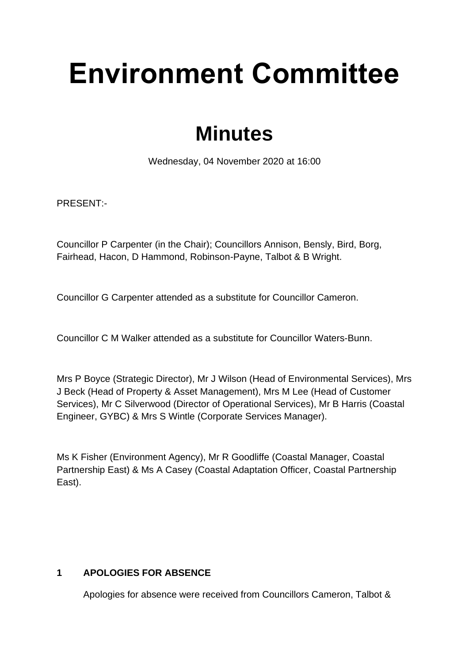# **Environment Committee**

# **Minutes**

Wednesday, 04 November 2020 at 16:00

PRESENT:-

Councillor P Carpenter (in the Chair); Councillors Annison, Bensly, Bird, Borg, Fairhead, Hacon, D Hammond, Robinson-Payne, Talbot & B Wright.

Councillor G Carpenter attended as a substitute for Councillor Cameron.

Councillor C M Walker attended as a substitute for Councillor Waters-Bunn.

Mrs P Boyce (Strategic Director), Mr J Wilson (Head of Environmental Services), Mrs J Beck (Head of Property & Asset Management), Mrs M Lee (Head of Customer Services), Mr C Silverwood (Director of Operational Services), Mr B Harris (Coastal Engineer, GYBC) & Mrs S Wintle (Corporate Services Manager).

Ms K Fisher (Environment Agency), Mr R Goodliffe (Coastal Manager, Coastal Partnership East) & Ms A Casey (Coastal Adaptation Officer, Coastal Partnership East).

# **1 APOLOGIES FOR ABSENCE**

Apologies for absence were received from Councillors Cameron, Talbot &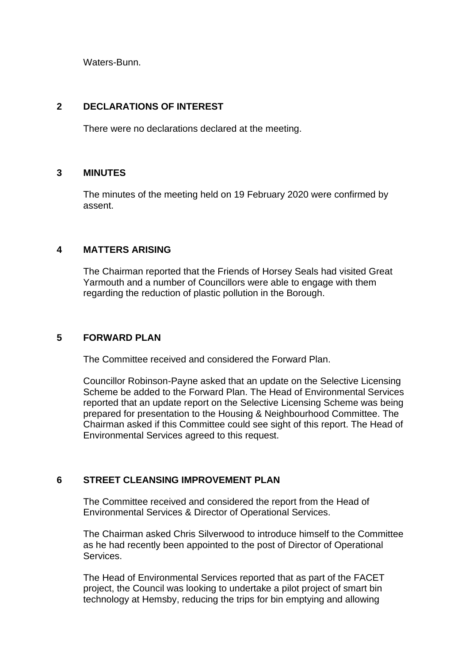Waters-Bunn.

#### **2 DECLARATIONS OF INTEREST**

There were no declarations declared at the meeting.

#### **3 MINUTES** 3

The minutes of the meeting held on 19 February 2020 were confirmed by assent.

#### **4 MATTERS ARISING** 4

The Chairman reported that the Friends of Horsey Seals had visited Great Yarmouth and a number of Councillors were able to engage with them regarding the reduction of plastic pollution in the Borough.

### **5 FORWARD PLAN** 5

The Committee received and considered the Forward Plan.

Councillor Robinson-Payne asked that an update on the Selective Licensing Scheme be added to the Forward Plan. The Head of Environmental Services reported that an update report on the Selective Licensing Scheme was being prepared for presentation to the Housing & Neighbourhood Committee. The Chairman asked if this Committee could see sight of this report. The Head of Environmental Services agreed to this request.

#### **6** STREET CLEANSING IMPROVEMENT PLAN

The Committee received and considered the report from the Head of Environmental Services & Director of Operational Services.

The Chairman asked Chris Silverwood to introduce himself to the Committee as he had recently been appointed to the post of Director of Operational Services.

The Head of Environmental Services reported that as part of the FACET project, the Council was looking to undertake a pilot project of smart bin technology at Hemsby, reducing the trips for bin emptying and allowing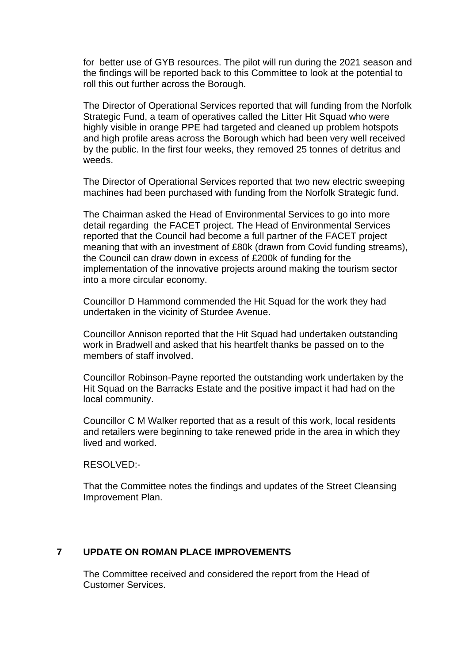for better use of GYB resources. The pilot will run during the 2021 season and the findings will be reported back to this Committee to look at the potential to roll this out further across the Borough.

The Director of Operational Services reported that will funding from the Norfolk Strategic Fund, a team of operatives called the Litter Hit Squad who were highly visible in orange PPE had targeted and cleaned up problem hotspots and high profile areas across the Borough which had been very well received by the public. In the first four weeks, they removed 25 tonnes of detritus and weeds.

The Director of Operational Services reported that two new electric sweeping machines had been purchased with funding from the Norfolk Strategic fund.

The Chairman asked the Head of Environmental Services to go into more detail regarding the FACET project. The Head of Environmental Services reported that the Council had become a full partner of the FACET project meaning that with an investment of £80k (drawn from Covid funding streams), the Council can draw down in excess of £200k of funding for the implementation of the innovative projects around making the tourism sector into a more circular economy.

Councillor D Hammond commended the Hit Squad for the work they had undertaken in the vicinity of Sturdee Avenue.

Councillor Annison reported that the Hit Squad had undertaken outstanding work in Bradwell and asked that his heartfelt thanks be passed on to the members of staff involved.

Councillor Robinson-Payne reported the outstanding work undertaken by the Hit Squad on the Barracks Estate and the positive impact it had had on the local community.

Councillor C M Walker reported that as a result of this work, local residents and retailers were beginning to take renewed pride in the area in which they lived and worked.

RESOLVED:-

That the Committee notes the findings and updates of the Street Cleansing Improvement Plan.

#### **7 UPDATE ON ROMAN PLACE IMPROVEMENTS** 7

The Committee received and considered the report from the Head of Customer Services.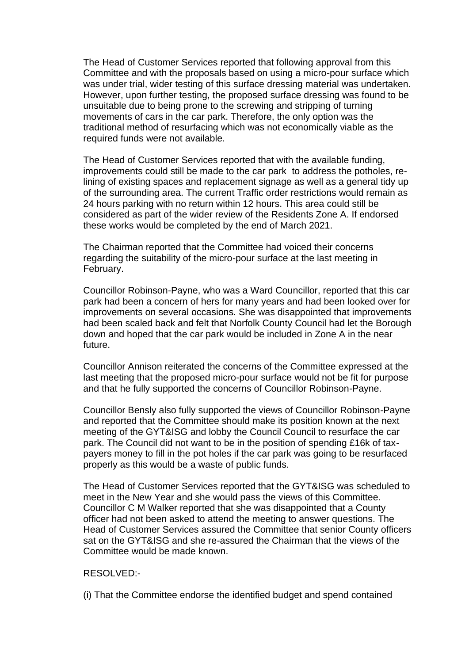The Head of Customer Services reported that following approval from this Committee and with the proposals based on using a micro-pour surface which was under trial, wider testing of this surface dressing material was undertaken. However, upon further testing, the proposed surface dressing was found to be unsuitable due to being prone to the screwing and stripping of turning movements of cars in the car park. Therefore, the only option was the traditional method of resurfacing which was not economically viable as the required funds were not available.

The Head of Customer Services reported that with the available funding, improvements could still be made to the car park to address the potholes, relining of existing spaces and replacement signage as well as a general tidy up of the surrounding area. The current Traffic order restrictions would remain as 24 hours parking with no return within 12 hours. This area could still be considered as part of the wider review of the Residents Zone A. If endorsed these works would be completed by the end of March 2021.

The Chairman reported that the Committee had voiced their concerns regarding the suitability of the micro-pour surface at the last meeting in February.

Councillor Robinson-Payne, who was a Ward Councillor, reported that this car park had been a concern of hers for many years and had been looked over for improvements on several occasions. She was disappointed that improvements had been scaled back and felt that Norfolk County Council had let the Borough down and hoped that the car park would be included in Zone A in the near future.

Councillor Annison reiterated the concerns of the Committee expressed at the last meeting that the proposed micro-pour surface would not be fit for purpose and that he fully supported the concerns of Councillor Robinson-Payne.

Councillor Bensly also fully supported the views of Councillor Robinson-Payne and reported that the Committee should make its position known at the next meeting of the GYT&ISG and lobby the Council Council to resurface the car park. The Council did not want to be in the position of spending £16k of taxpayers money to fill in the pot holes if the car park was going to be resurfaced properly as this would be a waste of public funds.

The Head of Customer Services reported that the GYT&ISG was scheduled to meet in the New Year and she would pass the views of this Committee. Councillor C M Walker reported that she was disappointed that a County officer had not been asked to attend the meeting to answer questions. The Head of Customer Services assured the Committee that senior County officers sat on the GYT&ISG and she re-assured the Chairman that the views of the Committee would be made known.

#### RESOLVED:-

(i) That the Committee endorse the identified budget and spend contained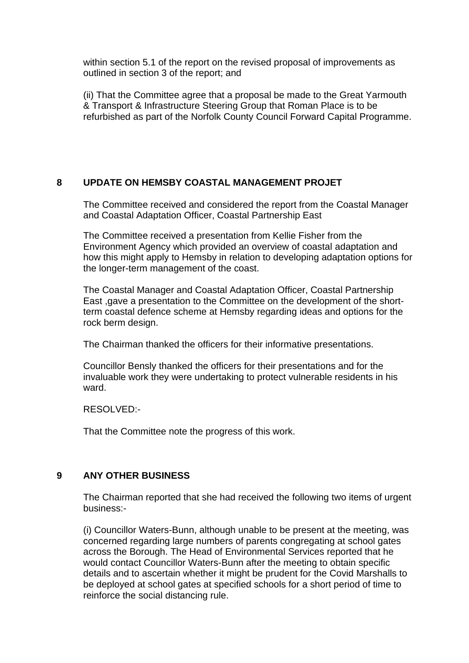within section 5.1 of the report on the revised proposal of improvements as outlined in section 3 of the report; and

(ii) That the Committee agree that a proposal be made to the Great Yarmouth & Transport & Infrastructure Steering Group that Roman Place is to be refurbished as part of the Norfolk County Council Forward Capital Programme.

#### **8 UPDATE ON HEMSBY COASTAL MANAGEMENT PROJET** 8

The Committee received and considered the report from the Coastal Manager and Coastal Adaptation Officer, Coastal Partnership East

The Committee received a presentation from Kellie Fisher from the Environment Agency which provided an overview of coastal adaptation and how this might apply to Hemsby in relation to developing adaptation options for the longer-term management of the coast.

The Coastal Manager and Coastal Adaptation Officer, Coastal Partnership East ,gave a presentation to the Committee on the development of the shortterm coastal defence scheme at Hemsby regarding ideas and options for the rock berm design.

The Chairman thanked the officers for their informative presentations.

Councillor Bensly thanked the officers for their presentations and for the invaluable work they were undertaking to protect vulnerable residents in his ward.

#### RESOLVED:-

That the Committee note the progress of this work.

# **9 ANY OTHER BUSINESS** 9

The Chairman reported that she had received the following two items of urgent business:-

(i) Councillor Waters-Bunn, although unable to be present at the meeting, was concerned regarding large numbers of parents congregating at school gates across the Borough. The Head of Environmental Services reported that he would contact Councillor Waters-Bunn after the meeting to obtain specific details and to ascertain whether it might be prudent for the Covid Marshalls to be deployed at school gates at specified schools for a short period of time to reinforce the social distancing rule.